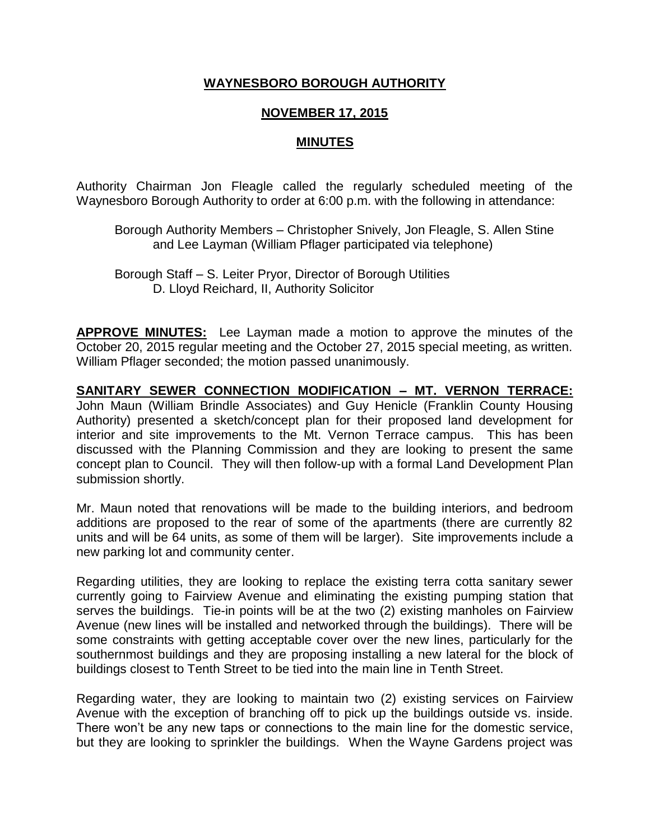## **WAYNESBORO BOROUGH AUTHORITY**

## **NOVEMBER 17, 2015**

## **MINUTES**

Authority Chairman Jon Fleagle called the regularly scheduled meeting of the Waynesboro Borough Authority to order at 6:00 p.m. with the following in attendance:

Borough Authority Members – Christopher Snively, Jon Fleagle, S. Allen Stine and Lee Layman (William Pflager participated via telephone)

Borough Staff – S. Leiter Pryor, Director of Borough Utilities D. Lloyd Reichard, II, Authority Solicitor

**APPROVE MINUTES:** Lee Layman made a motion to approve the minutes of the October 20, 2015 regular meeting and the October 27, 2015 special meeting, as written. William Pflager seconded; the motion passed unanimously.

**SANITARY SEWER CONNECTION MODIFICATION – MT. VERNON TERRACE:** John Maun (William Brindle Associates) and Guy Henicle (Franklin County Housing Authority) presented a sketch/concept plan for their proposed land development for interior and site improvements to the Mt. Vernon Terrace campus. This has been discussed with the Planning Commission and they are looking to present the same concept plan to Council. They will then follow-up with a formal Land Development Plan submission shortly.

Mr. Maun noted that renovations will be made to the building interiors, and bedroom additions are proposed to the rear of some of the apartments (there are currently 82 units and will be 64 units, as some of them will be larger). Site improvements include a new parking lot and community center.

Regarding utilities, they are looking to replace the existing terra cotta sanitary sewer currently going to Fairview Avenue and eliminating the existing pumping station that serves the buildings. Tie-in points will be at the two (2) existing manholes on Fairview Avenue (new lines will be installed and networked through the buildings). There will be some constraints with getting acceptable cover over the new lines, particularly for the southernmost buildings and they are proposing installing a new lateral for the block of buildings closest to Tenth Street to be tied into the main line in Tenth Street.

Regarding water, they are looking to maintain two (2) existing services on Fairview Avenue with the exception of branching off to pick up the buildings outside vs. inside. There won't be any new taps or connections to the main line for the domestic service, but they are looking to sprinkler the buildings. When the Wayne Gardens project was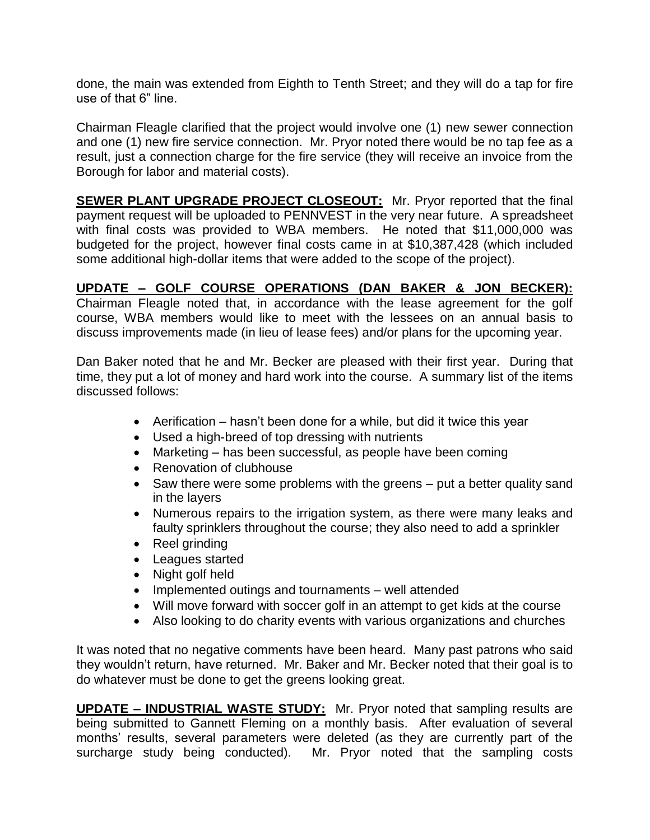done, the main was extended from Eighth to Tenth Street; and they will do a tap for fire use of that 6" line.

Chairman Fleagle clarified that the project would involve one (1) new sewer connection and one (1) new fire service connection. Mr. Pryor noted there would be no tap fee as a result, just a connection charge for the fire service (they will receive an invoice from the Borough for labor and material costs).

**SEWER PLANT UPGRADE PROJECT CLOSEOUT:** Mr. Pryor reported that the final payment request will be uploaded to PENNVEST in the very near future. A spreadsheet with final costs was provided to WBA members. He noted that \$11,000,000 was budgeted for the project, however final costs came in at \$10,387,428 (which included some additional high-dollar items that were added to the scope of the project).

## **UPDATE – GOLF COURSE OPERATIONS (DAN BAKER & JON BECKER):**

Chairman Fleagle noted that, in accordance with the lease agreement for the golf course, WBA members would like to meet with the lessees on an annual basis to discuss improvements made (in lieu of lease fees) and/or plans for the upcoming year.

Dan Baker noted that he and Mr. Becker are pleased with their first year. During that time, they put a lot of money and hard work into the course. A summary list of the items discussed follows:

- Aerification hasn't been done for a while, but did it twice this year
- Used a high-breed of top dressing with nutrients
- Marketing has been successful, as people have been coming
- Renovation of clubhouse
- Saw there were some problems with the greens put a better quality sand in the layers
- Numerous repairs to the irrigation system, as there were many leaks and faulty sprinklers throughout the course; they also need to add a sprinkler
- Reel grinding
- Leagues started
- Night golf held
- Implemented outings and tournaments well attended
- Will move forward with soccer golf in an attempt to get kids at the course
- Also looking to do charity events with various organizations and churches

It was noted that no negative comments have been heard. Many past patrons who said they wouldn't return, have returned. Mr. Baker and Mr. Becker noted that their goal is to do whatever must be done to get the greens looking great.

**UPDATE – INDUSTRIAL WASTE STUDY:** Mr. Pryor noted that sampling results are being submitted to Gannett Fleming on a monthly basis. After evaluation of several months' results, several parameters were deleted (as they are currently part of the surcharge study being conducted). Mr. Pryor noted that the sampling costs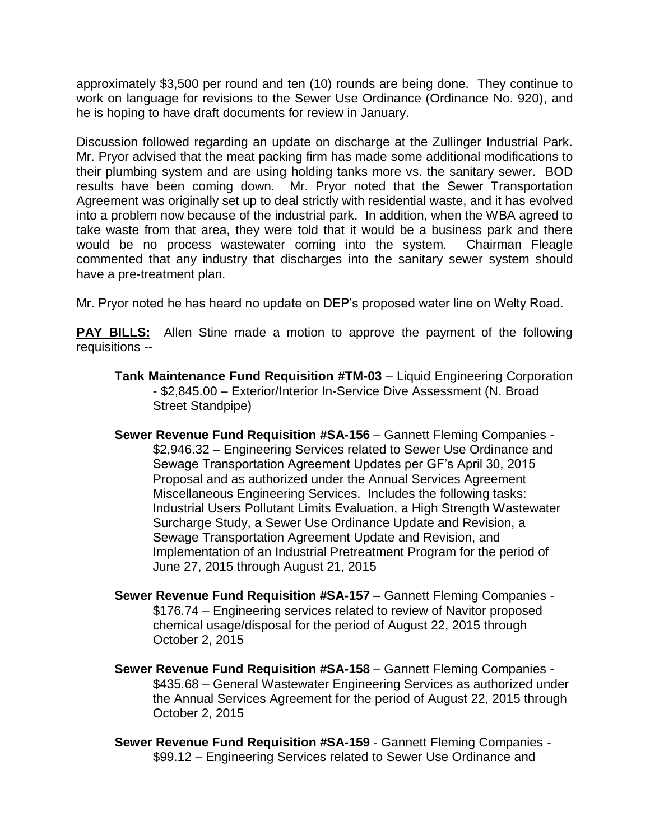approximately \$3,500 per round and ten (10) rounds are being done. They continue to work on language for revisions to the Sewer Use Ordinance (Ordinance No. 920), and he is hoping to have draft documents for review in January.

Discussion followed regarding an update on discharge at the Zullinger Industrial Park. Mr. Pryor advised that the meat packing firm has made some additional modifications to their plumbing system and are using holding tanks more vs. the sanitary sewer. BOD results have been coming down. Mr. Pryor noted that the Sewer Transportation Agreement was originally set up to deal strictly with residential waste, and it has evolved into a problem now because of the industrial park. In addition, when the WBA agreed to take waste from that area, they were told that it would be a business park and there would be no process wastewater coming into the system. Chairman Fleagle commented that any industry that discharges into the sanitary sewer system should have a pre-treatment plan.

Mr. Pryor noted he has heard no update on DEP's proposed water line on Welty Road.

**PAY BILLS:** Allen Stine made a motion to approve the payment of the following requisitions --

- **Tank Maintenance Fund Requisition #TM-03** Liquid Engineering Corporation - \$2,845.00 – Exterior/Interior In-Service Dive Assessment (N. Broad Street Standpipe)
- **Sewer Revenue Fund Requisition #SA-156** Gannett Fleming Companies \$2,946.32 – Engineering Services related to Sewer Use Ordinance and Sewage Transportation Agreement Updates per GF's April 30, 2015 Proposal and as authorized under the Annual Services Agreement Miscellaneous Engineering Services. Includes the following tasks: Industrial Users Pollutant Limits Evaluation, a High Strength Wastewater Surcharge Study, a Sewer Use Ordinance Update and Revision, a Sewage Transportation Agreement Update and Revision, and Implementation of an Industrial Pretreatment Program for the period of June 27, 2015 through August 21, 2015
- **Sewer Revenue Fund Requisition #SA-157** Gannett Fleming Companies \$176.74 – Engineering services related to review of Navitor proposed chemical usage/disposal for the period of August 22, 2015 through October 2, 2015
- **Sewer Revenue Fund Requisition #SA-158** Gannett Fleming Companies \$435.68 – General Wastewater Engineering Services as authorized under the Annual Services Agreement for the period of August 22, 2015 through October 2, 2015
- **Sewer Revenue Fund Requisition #SA-159**  Gannett Fleming Companies \$99.12 – Engineering Services related to Sewer Use Ordinance and